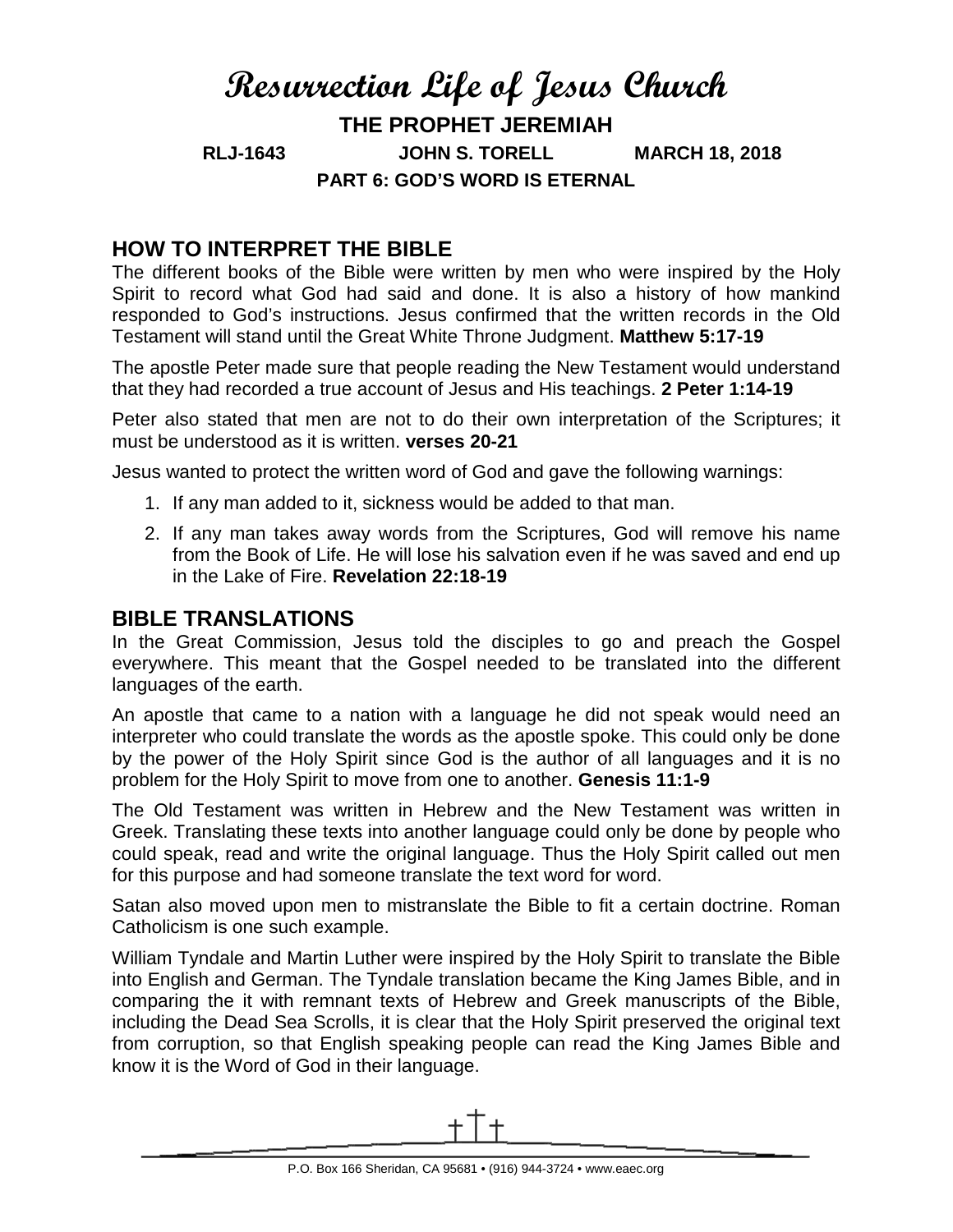# **Resurrection Life of Jesus Church THE PROPHET JEREMIAH RLJ-1643 JOHN S. TORELL MARCH 18, 2018 PART 6: GOD'S WORD IS ETERNAL**

# **HOW TO INTERPRET THE BIBLE**

The different books of the Bible were written by men who were inspired by the Holy Spirit to record what God had said and done. It is also a history of how mankind responded to God's instructions. Jesus confirmed that the written records in the Old Testament will stand until the Great White Throne Judgment. **Matthew 5:17-19**

The apostle Peter made sure that people reading the New Testament would understand that they had recorded a true account of Jesus and His teachings. **2 Peter 1:14-19**

Peter also stated that men are not to do their own interpretation of the Scriptures; it must be understood as it is written. **verses 20-21**

Jesus wanted to protect the written word of God and gave the following warnings:

- 1. If any man added to it, sickness would be added to that man.
- 2. If any man takes away words from the Scriptures, God will remove his name from the Book of Life. He will lose his salvation even if he was saved and end up in the Lake of Fire. **Revelation 22:18-19**

### **BIBLE TRANSLATIONS**

In the Great Commission, Jesus told the disciples to go and preach the Gospel everywhere. This meant that the Gospel needed to be translated into the different languages of the earth.

An apostle that came to a nation with a language he did not speak would need an interpreter who could translate the words as the apostle spoke. This could only be done by the power of the Holy Spirit since God is the author of all languages and it is no problem for the Holy Spirit to move from one to another. **Genesis 11:1-9**

The Old Testament was written in Hebrew and the New Testament was written in Greek. Translating these texts into another language could only be done by people who could speak, read and write the original language. Thus the Holy Spirit called out men for this purpose and had someone translate the text word for word.

Satan also moved upon men to mistranslate the Bible to fit a certain doctrine. Roman Catholicism is one such example.

William Tyndale and Martin Luther were inspired by the Holy Spirit to translate the Bible into English and German. The Tyndale translation became the King James Bible, and in comparing the it with remnant texts of Hebrew and Greek manuscripts of the Bible, including the Dead Sea Scrolls, it is clear that the Holy Spirit preserved the original text from corruption, so that English speaking people can read the King James Bible and know it is the Word of God in their language.